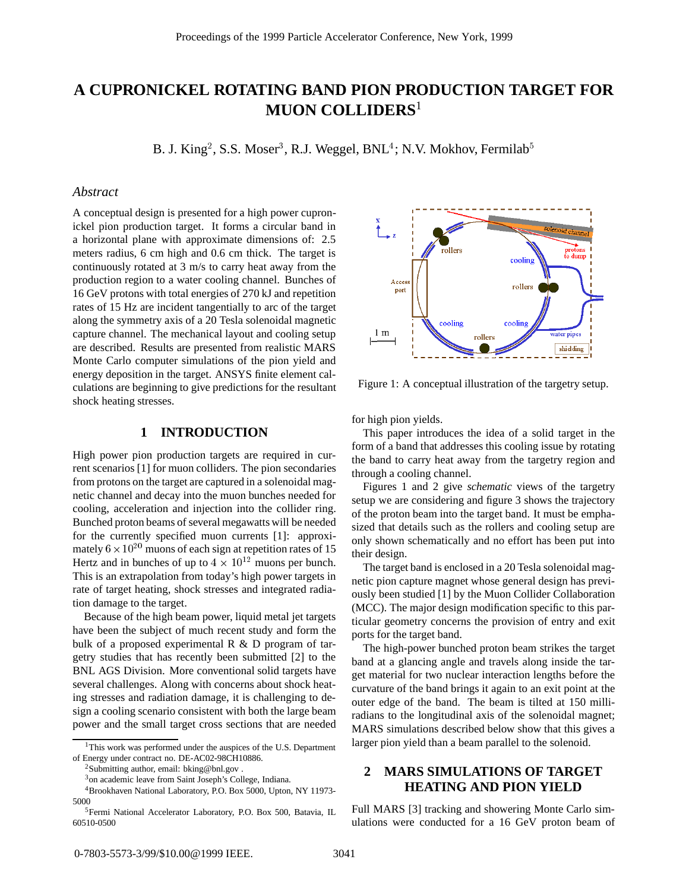# **A CUPRONICKEL ROTATING BAND PION PRODUCTION TARGET FOR MUON COLLIDERS**<sup>1</sup>

B. J. King<sup>2</sup>, S.S. Moser<sup>3</sup>, R.J. Weggel, BNL<sup>4</sup>; N.V. Mokhov, Fermilab $^5$ 

#### *Abstract*

A conceptual design is presented for a high power cupronickel pion production target. It forms a circular band in a horizontal plane with approximate dimensions of: 2.5 meters radius, 6 cm high and 0.6 cm thick. The target is continuously rotated at 3 m/s to carry heat away from the production region to a water cooling channel. Bunches of 16 GeV protons with total energies of 270 kJ and repetition rates of 15 Hz are incident tangentially to arc of the target along the symmetry axis of a 20 Tesla solenoidal magnetic capture channel. The mechanical layout and cooling setup are described. Results are presented from realistic MARS Monte Carlo computer simulations of the pion yield and energy deposition in the target. ANSYS finite element calculations are beginning to give predictions for the resultant shock heating stresses.

## **1 INTRODUCTION**

High power pion production targets are required in current scenarios [1] for muon colliders. The pion secondaries from protons on the target are captured in a solenoidal magnetic channel and decay into the muon bunches needed for cooling, acceleration and injection into the collider ring. Bunched proton beams of several megawatts will be needed for the currently specified muon currents [1]: approximately  $6 \times 10^{20}$  muons of each sign at repetition rates of 15 Hertz and in bunches of up to  $4 \times 10^{12}$  muons per bunch. This is an extrapolation from today's high power targets in rate of target heating, shock stresses and integrated radiation damage to the target.

Because of the high beam power, liquid metal jet targets have been the subject of much recent study and form the bulk of a proposed experimental R & D program of targetry studies that has recently been submitted [2] to the BNL AGS Division. More conventional solid targets have several challenges. Along with concerns about shock heating stresses and radiation damage, it is challenging to design a cooling scenario consistent with both the large beam power and the small target cross sections that are needed

<sup>2</sup>Submitting author, email: bking@bnl.gov.



Figure 1: A conceptual illustration of the targetry setup.

for high pion yields.

This paper introduces the idea of a solid target in the form of a band that addresses this cooling issue by rotating the band to carry heat away from the targetry region and through a cooling channel.

Figures 1 and 2 give *schematic* views of the targetry setup we are considering and figure 3 shows the trajectory of the proton beam into the target band. It must be emphasized that details such as the rollers and cooling setup are only shown schematically and no effort has been put into their design.

The target band is enclosed in a 20 Tesla solenoidal magnetic pion capture magnet whose general design has previously been studied [1] by the Muon Collider Collaboration (MCC). The major design modification specific to this particular geometry concerns the provision of entry and exit ports for the target band.

The high-power bunched proton beam strikes the target band at a glancing angle and travels along inside the target material for two nuclear interaction lengths before the curvature of the band brings it again to an exit point at the outer edge of the band. The beam is tilted at 150 milliradians to the longitudinal axis of the solenoidal magnet; MARS simulations described below show that this gives a larger pion yield than a beam parallel to the solenoid.

# **2 MARS SIMULATIONS OF TARGET HEATING AND PION YIELD**

Full MARS [3] tracking and showering Monte Carlo simulations were conducted for a 16 GeV proton beam of

<sup>&</sup>lt;sup>1</sup>This work was performed under the auspices of the U.S. Department of Energy under contract no. DE-AC02-98CH10886.

<sup>3</sup>on academic leave from Saint Joseph's College, Indiana.

<sup>4</sup>Brookhaven National Laboratory, P.O. Box 5000, Upton, NY 11973-

<sup>5000&</sup>lt;br> $5$ Fermi National Accelerator Laboratory, P.O. Box 500, Batavia, IL 60510-0500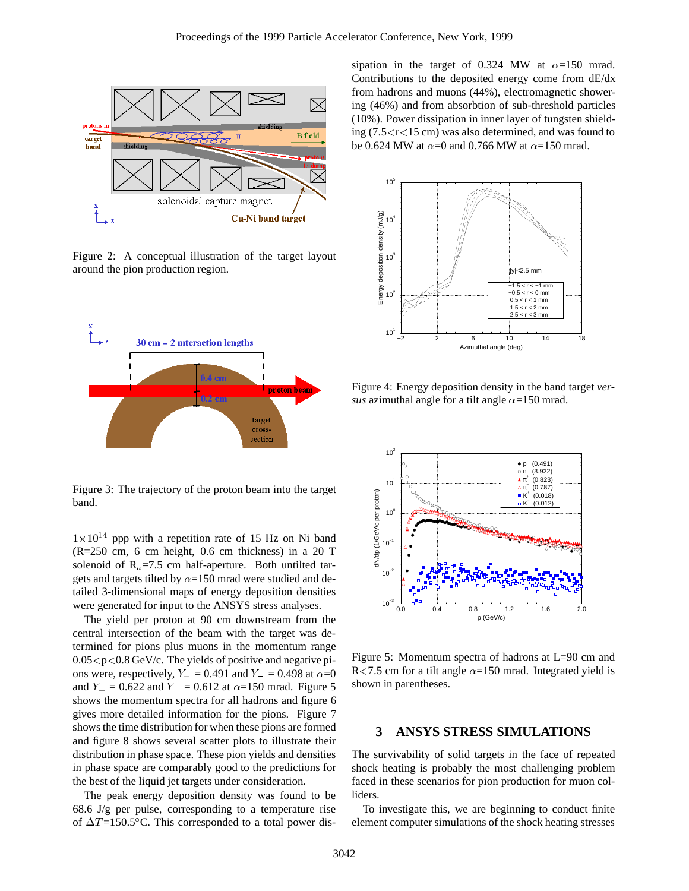

Figure 2: A conceptual illustration of the target layout around the pion production region.



Figure 3: The trajectory of the proton beam into the target band.

 $1\times10^{14}$  ppp with a repetition rate of 15 Hz on Ni band (R=250 cm, 6 cm height, 0.6 cm thickness) in a 20 T solenoid of  $R_a = 7.5$  cm half-aperture. Both untilted targets and targets tilted by  $\alpha$ =150 mrad were studied and detailed 3-dimensional maps of energy deposition densities were generated for input to the ANSYS stress analyses.

The yield per proton at 90 cm downstream from the central intersection of the beam with the target was determined for pions plus muons in the momentum range  $0.05 < p < 0.8$  GeV/c. The yields of positive and negative pions were, respectively,  $Y_+ = 0.491$  and  $Y_- = 0.498$  at  $\alpha = 0$ and  $Y_+ = 0.622$  and  $Y_- = 0.612$  at  $\alpha = 150$  mrad. Figure 5 shows the momentum spectra for all hadrons and figure 6 gives more detailed information for the pions. Figure 7 shows the time distribution for when these pions are formed and figure 8 shows several scatter plots to illustrate their distribution in phase space. These pion yields and densities in phase space are comparably good to the predictions for the best of the liquid jet targets under consideration.

The peak energy deposition density was found to be 68.6 J/g per pulse, corresponding to a temperature rise of  $\Delta T = 150.5^{\circ}$ C. This corresponded to a total power dissipation in the target of 0.324 MW at  $\alpha$ =150 mrad. Contributions to the deposited energy come from dE/dx from hadrons and muons (44%), electromagnetic showering (46%) and from absorbtion of sub-threshold particles (10%). Power dissipation in inner layer of tungsten shielding  $(7.5 < r < 15$  cm) was also determined, and was found to be 0.624 MW at  $\alpha$ =0 and 0.766 MW at  $\alpha$ =150 mrad.



Figure 4: Energy deposition density in the band target *versus* azimuthal angle for a tilt angle  $\alpha$ =150 mrad.



Figure 5: Momentum spectra of hadrons at L=90 cm and R<7.5 cm for a tilt angle  $\alpha$ =150 mrad. Integrated yield is shown in parentheses.

### **3 ANSYS STRESS SIMULATIONS**

The survivability of solid targets in the face of repeated shock heating is probably the most challenging problem faced in these scenarios for pion production for muon colliders.

To investigate this, we are beginning to conduct finite element computer simulations of the shock heating stresses